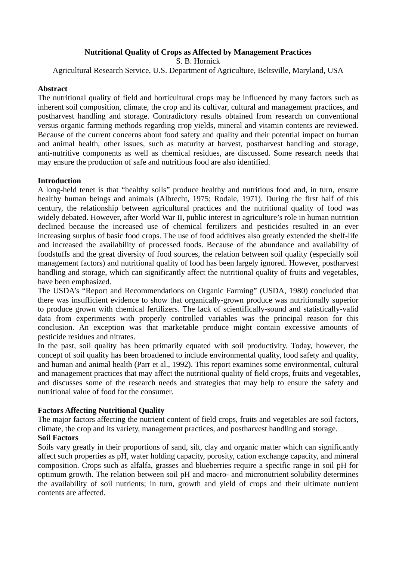## **Nutritional Quality of Crops as Affected by Management Practices**

S. B. Hornick

Agricultural Research Service, U.S. Department of Agriculture, Beltsville, Maryland, USA

### **Abstract**

The nutritional quality of field and horticultural crops may be influenced by many factors such as inherent soil composition, climate, the crop and its cultivar, cultural and management practices, and postharvest handling and storage. Contradictory results obtained from research on conventional versus organic farming methods regarding crop yields, mineral and vitamin contents are reviewed. Because of the current concerns about food safety and quality and their potential impact on human and animal health, other issues, such as maturity at harvest, postharvest handling and storage, anti-nutritive components as well as chemical residues, are discussed. Some research needs that may ensure the production of safe and nutritious food are also identified.

## **Introduction**

A long-held tenet is that "healthy soils" produce healthy and nutritious food and, in turn, ensure healthy human beings and animals (Albrecht, 1975; Rodale, 1971). During the first half of this century, the relationship between agricultural practices and the nutritional quality of food was widely debated. However, after World War II, public interest in agriculture's role in human nutrition declined because the increased use of chemical fertilizers and pesticides resulted in an ever increasing surplus of basic food crops. The use of food additives also greatly extended the shelf-life and increased the availability of processed foods. Because of the abundance and availability of foodstuffs and the great diversity of food sources, the relation between soil quality (especially soil management factors) and nutritional quality of food has been largely ignored. However, postharvest handling and storage, which can significantly affect the nutritional quality of fruits and vegetables, have been emphasized.

The USDA's "Report and Recommendations on Organic Farming" (USDA, 1980) concluded that there was insufficient evidence to show that organically-grown produce was nutritionally superior to produce grown with chemical fertilizers. The lack of scientifically-sound and statistically-valid data from experiments with properly controlled variables was the principal reason for this conclusion. An exception was that marketable produce might contain excessive amounts of pesticide residues and nitrates.

In the past, soil quality has been primarily equated with soil productivity. Today, however, the concept of soil quality has been broadened to include environmental quality, food safety and quality, and human and animal health (Parr et al., 1992). This report examines some environmental, cultural and management practices that may affect the nutritional quality of field crops, fruits and vegetables, and discusses some of the research needs and strategies that may help to ensure the safety and nutritional value of food for the consumer.

# **Factors Affecting Nutritional Quality**

The major factors affecting the nutrient content of field crops, fruits and vegetables are soil factors, climate, the crop and its variety, management practices, and postharvest handling and storage.

### **Soil Factors**

Soils vary greatly in their proportions of sand, silt, clay and organic matter which can significantly affect such properties as pH, water holding capacity, porosity, cation exchange capacity, and mineral composition. Crops such as alfalfa, grasses and blueberries require a specific range in soil pH for optimum growth. The relation between soil pH and macro- and micronutrient solubility determines the availability of soil nutrients; in turn, growth and yield of crops and their ultimate nutrient contents are affected.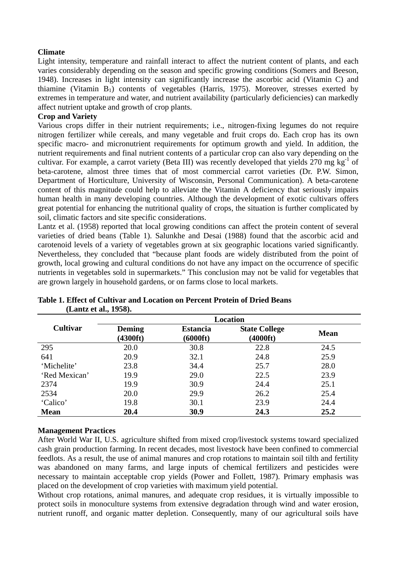## **Climate**

Light intensity, temperature and rainfall interact to affect the nutrient content of plants, and each varies considerably depending on the season and specific growing conditions (Somers and Beeson, 1948). Increases in light intensity can significantly increase the ascorbic acid (Vitamin C) and thiamine (Vitamin  $B_1$ ) contents of vegetables (Harris, 1975). Moreover, stresses exerted by extremes in temperature and water, and nutrient availability (particularly deficiencies) can markedly affect nutrient uptake and growth of crop plants.

## **Crop and Variety**

Various crops differ in their nutrient requirements; i.e., nitrogen-fixing legumes do not require nitrogen fertilizer while cereals, and many vegetable and fruit crops do. Each crop has its own specific macro- and micronutrient requirements for optimum growth and yield. In addition, the nutrient requirements and final nutrient contents of a particular crop can also vary depending on the cultivar. For example, a carrot variety (Beta III) was recently developed that yields 270 mg kg<sup>-1</sup> of beta-carotene, almost three times that of most commercial carrot varieties (Dr. P.W. Simon, Department of Horticulture, University of Wisconsin, Personal Communication). A beta-carotene content of this magnitude could help to alleviate the Vitamin A deficiency that seriously impairs human health in many developing countries. Although the development of exotic cultivars offers great potential for enhancing the nutritional quality of crops, the situation is further complicated by soil, climatic factors and site specific considerations.

Lantz et al. (1958) reported that local growing conditions can affect the protein content of several varieties of dried beans (Table 1). Salunkhe and Desai (1988) found that the ascorbic acid and carotenoid levels of a variety of vegetables grown at six geographic locations varied significantly. Nevertheless, they concluded that "because plant foods are widely distributed from the point of growth, local growing and cultural conditions do not have any impact on the occurrence of specific nutrients in vegetables sold in supermarkets." This conclusion may not be valid for vegetables that are grown largely in household gardens, or on farms close to local markets.

|                 | <b>Location</b>                     |                             |                                            |             |
|-----------------|-------------------------------------|-----------------------------|--------------------------------------------|-------------|
| <b>Cultivar</b> | <b>Deming</b><br>$(4300 \text{ft})$ | <b>Estancia</b><br>(6000ft) | <b>State College</b><br>$(4000 \text{ft})$ | <b>Mean</b> |
| 295             | 20.0                                | 30.8                        | 22.8                                       | 24.5        |
| 641             | 20.9                                | 32.1                        | 24.8                                       | 25.9        |
| 'Michelite'     | 23.8                                | 34.4                        | 25.7                                       | 28.0        |
| 'Red Mexican'   | 19.9                                | 29.0                        | 22.5                                       | 23.9        |
| 2374            | 19.9                                | 30.9                        | 24.4                                       | 25.1        |
| 2534            | 20.0                                | 29.9                        | 26.2                                       | 25.4        |
| 'Calico'        | 19.8                                | 30.1                        | 23.9                                       | 24.4        |
| <b>Mean</b>     | 20.4                                | 30.9                        | 24.3                                       | 25.2        |

### **Table 1. Effect of Cultivar and Location on Percent Protein of Dried Beans (Lantz et al., 1958).**

### **Management Practices**

After World War II, U.S. agriculture shifted from mixed crop/livestock systems toward specialized cash grain production farming. In recent decades, most livestock have been confined to commercial feedlots. As a result, the use of animal manures and crop rotations to maintain soil tilth and fertility was abandoned on many farms, and large inputs of chemical fertilizers and pesticides were necessary to maintain acceptable crop yields (Power and Follett, 1987). Primary emphasis was placed on the development of crop varieties with maximum yield potential.

Without crop rotations, animal manures, and adequate crop residues, it is virtually impossible to protect soils in monoculture systems from extensive degradation through wind and water erosion, nutrient runoff, and organic matter depletion. Consequently, many of our agricultural soils have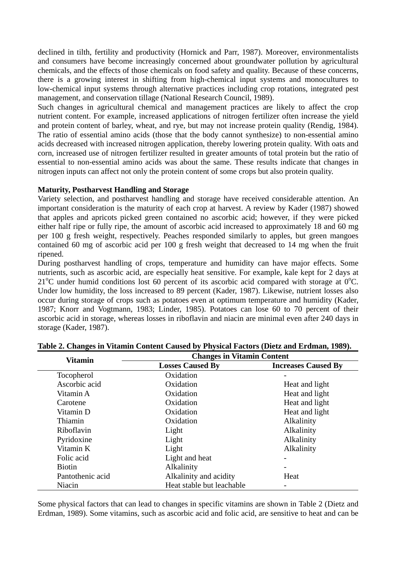declined in tilth, fertility and productivity (Hornick and Parr, 1987). Moreover, environmentalists and consumers have become increasingly concerned about groundwater pollution by agricultural chemicals, and the effects of those chemicals on food safety and quality. Because of these concerns, there is a growing interest in shifting from high-chemical input systems and monocultures to low-chemical input systems through alternative practices including crop rotations, integrated pest management, and conservation tillage (National Research Council, 1989).

Such changes in agricultural chemical and management practices are likely to affect the crop nutrient content. For example, increased applications of nitrogen fertilizer often increase the yield and protein content of barley, wheat, and rye, but may not increase protein quality (Rendig, 1984). The ratio of essential amino acids (those that the body cannot synthesize) to non-essential amino acids decreased with increased nitrogen application, thereby lowering protein quality. With oats and corn, increased use of nitrogen fertilizer resulted in greater amounts of total protein but the ratio of essential to non-essential amino acids was about the same. These results indicate that changes in nitrogen inputs can affect not only the protein content of some crops but also protein quality.

### **Maturity, Postharvest Handling and Storage**

Variety selection, and postharvest handling and storage have received considerable attention. An important consideration is the maturity of each crop at harvest. A review by Kader (1987) showed that apples and apricots picked green contained no ascorbic acid; however, if they were picked either half ripe or fully ripe, the amount of ascorbic acid increased to approximately 18 and 60 mg per 100 g fresh weight, respectively. Peaches responded similarly to apples, but green mangoes contained 60 mg of ascorbic acid per 100 g fresh weight that decreased to 14 mg when the fruit ripened.

During postharvest handling of crops, temperature and humidity can have major effects. Some nutrients, such as ascorbic acid, are especially heat sensitive. For example, kale kept for 2 days at  $21^{\circ}$ C under humid conditions lost 60 percent of its ascorbic acid compared with storage at  $0^{\circ}$ C. Under low humidity, the loss increased to 89 percent (Kader, 1987). Likewise, nutrient losses also occur during storage of crops such as potatoes even at optimum temperature and humidity (Kader, 1987; Knorr and Vogtmann, 1983; Linder, 1985). Potatoes can lose 60 to 70 percent of their ascorbic acid in storage, whereas losses in riboflavin and niacin are minimal even after 240 days in storage (Kader, 1987).

| <b>Vitamin</b>   | <b>Changes in Vitamin Content</b> |                            |  |
|------------------|-----------------------------------|----------------------------|--|
|                  | <b>Losses Caused By</b>           | <b>Increases Caused By</b> |  |
| Tocopherol       | Oxidation                         |                            |  |
| Ascorbic acid    | Oxidation                         | Heat and light             |  |
| Vitamin A        | Oxidation                         | Heat and light             |  |
| Carotene         | Oxidation                         | Heat and light             |  |
| Vitamin D        | Oxidation                         | Heat and light             |  |
| Thiamin          | Oxidation                         | Alkalinity                 |  |
| Riboflavin       | Light                             | Alkalinity                 |  |
| Pyridoxine       | Light                             | Alkalinity                 |  |
| Vitamin K        | Light                             | Alkalinity                 |  |
| Folic acid       | Light and heat                    |                            |  |
| <b>Biotin</b>    | Alkalinity                        |                            |  |
| Pantothenic acid | Alkalinity and acidity            | Heat                       |  |
| Niacin           | Heat stable but leachable         | -                          |  |

### **Table 2. Changes in Vitamin Content Caused by Physical Factors (Dietz and Erdman, 1989).**

Some physical factors that can lead to changes in specific vitamins are shown in Table 2 (Dietz and Erdman, 1989). Some vitamins, such as ascorbic acid and folic acid, are sensitive to heat and can be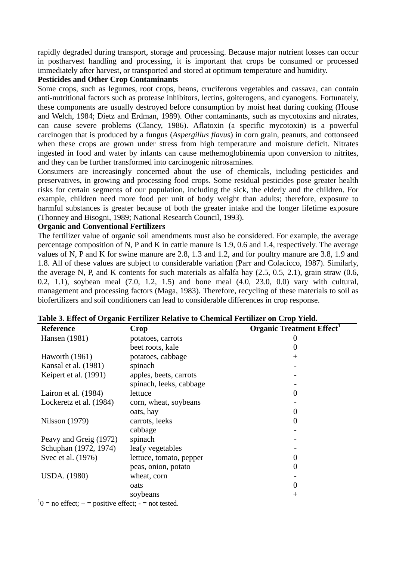rapidly degraded during transport, storage and processing. Because major nutrient losses can occur in postharvest handling and processing, it is important that crops be consumed or processed immediately after harvest, or transported and stored at optimum temperature and humidity.

### **Pesticides and Other Crop Contaminants**

Some crops, such as legumes, root crops, beans, cruciferous vegetables and cassava, can contain anti-nutritional factors such as protease inhibitors, lectins, goiterogens, and cyanogens. Fortunately, these components are usually destroyed before consumption by moist heat during cooking (House and Welch, 1984; Dietz and Erdman, 1989). Other contaminants, such as mycotoxins and nitrates, can cause severe problems (Clancy, 1986). Aflatoxin (a specific mycotoxin) is a powerful carcinogen that is produced by a fungus (*Aspergillus flavus*) in corn grain, peanuts, and cottonseed when these crops are grown under stress from high temperature and moisture deficit. Nitrates ingested in food and water by infants can cause methemoglobinemia upon conversion to nitrites, and they can be further transformed into carcinogenic nitrosamines.

Consumers are increasingly concerned about the use of chemicals, including pesticides and preservatives, in growing and processing food crops. Some residual pesticides pose greater health risks for certain segments of our population, including the sick, the elderly and the children. For example, children need more food per unit of body weight than adults; therefore, exposure to harmful substances is greater because of both the greater intake and the longer lifetime exposure (Thonney and Bisogni, 1989; National Research Council, 1993).

### **Organic and Conventional Fertilizers**

The fertilizer value of organic soil amendments must also be considered. For example, the average percentage composition of N, P and K in cattle manure is 1.9, 0.6 and 1.4, respectively. The average values of N, P and K for swine manure are 2.8, 1.3 and 1.2, and for poultry manure are 3.8, 1.9 and 1.8. All of these values are subject to considerable variation (Parr and Colacicco, 1987). Similarly, the average N, P, and K contents for such materials as alfalfa hay (2.5, 0.5, 2.1), grain straw (0.6, 0.2, 1.1), soybean meal (7.0, 1.2, 1.5) and bone meal (4.0, 23.0, 0.0) vary with cultural, management and processing factors (Maga, 1983). Therefore, recycling of these materials to soil as biofertilizers and soil conditioners can lead to considerable differences in crop response.

| <b>Reference</b>        | Crop                    | <b>Organic Treatment Effect</b> |
|-------------------------|-------------------------|---------------------------------|
| Hansen (1981)           | potatoes, carrots       |                                 |
|                         | beet roots, kale        |                                 |
| Haworth (1961)          | potatoes, cabbage       | $^+$                            |
| Kansal et al. (1981)    | spinach                 |                                 |
| Keipert et al. (1991)   | apples, beets, carrots  |                                 |
|                         | spinach, leeks, cabbage |                                 |
| Lairon et al. $(1984)$  | lettuce                 |                                 |
| Lockeretz et al. (1984) | corn, wheat, soybeans   |                                 |
|                         | oats, hay               |                                 |
| Nilsson (1979)          | carrots, leeks          |                                 |
|                         | cabbage                 |                                 |
| Peavy and Greig (1972)  | spinach                 |                                 |
| Schuphan (1972, 1974)   | leafy vegetables        |                                 |
| Svec et al. (1976)      | lettuce, tomato, pepper |                                 |
|                         | peas, onion, potato     |                                 |
| <b>USDA.</b> (1980)     | wheat, corn             |                                 |
|                         | oats                    | 0                               |
|                         | soybeans                | $^+$                            |

|  | Table 3. Effect of Organic Fertilizer Relative to Chemical Fertilizer on Crop Yield. |  |
|--|--------------------------------------------------------------------------------------|--|
|--|--------------------------------------------------------------------------------------|--|

 $10 =$  no effect;  $+$  = positive effect;  $-$  = not tested.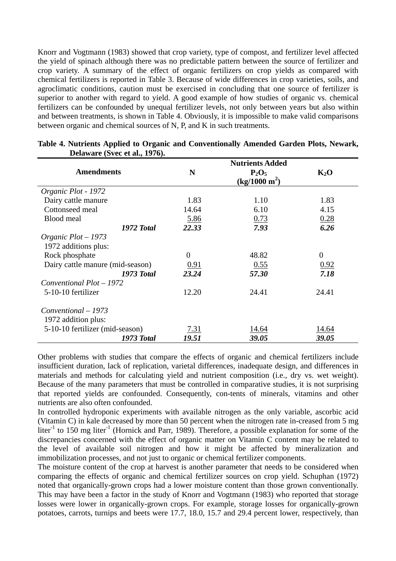Knorr and Vogtmann (1983) showed that crop variety, type of compost, and fertilizer level affected the yield of spinach although there was no predictable pattern between the source of fertilizer and crop variety. A summary of the effect of organic fertilizers on crop yields as compared with chemical fertilizers is reported in Table 3. Because of wide differences in crop varieties, soils, and agroclimatic conditions, caution must be exercised in concluding that one source of fertilizer is superior to another with regard to yield. A good example of how studies of organic vs. chemical fertilizers can be confounded by unequal fertilizer levels, not only between years but also within and between treatments, is shown in Table 4. Obviously, it is impossible to make valid comparisons between organic and chemical sources of N, P, and K in such treatments.

|                                  |             | <b>Nutrients Added</b>    |          |
|----------------------------------|-------------|---------------------------|----------|
| <b>Amendments</b>                | N           | $P_2O_5$                  | $K_2O$   |
|                                  |             | (kg/1000 m <sup>2</sup> ) |          |
| Organic Plot - 1972              |             |                           |          |
| Dairy cattle manure              | 1.83        | 1.10                      | 1.83     |
| Cottonseed meal                  | 14.64       | 6.10                      | 4.15     |
| Blood meal                       | 5.86        | 0.73                      | 0.28     |
| 1972 Total                       | 22.33       | 7.93                      | 6.26     |
| Organic $Plot - 1973$            |             |                           |          |
| 1972 additions plus:             |             |                           |          |
| Rock phosphate                   | $\theta$    | 48.82                     | $\theta$ |
| Dairy cattle manure (mid-season) | 0.91        | 0.55                      | 0.92     |
| 1973 Total                       | 23.24       | 57.30                     | 7.18     |
| Conventional Plot - 1972         |             |                           |          |
| 5-10-10 fertilizer               | 12.20       | 24.41                     | 24.41    |
| Conventional – 1973              |             |                           |          |
| 1972 addition plus:              |             |                           |          |
| 5-10-10 fertilizer (mid-season)  | <u>7.31</u> | 14.64                     | 14.64    |
| <b>1973 Total</b>                | 19.51       | 39.05                     | 39.05    |

#### **Table 4. Nutrients Applied to Organic and Conventionally Amended Garden Plots, Newark, Delaware (Svec et al., 1976).**

Other problems with studies that compare the effects of organic and chemical fertilizers include insufficient duration, lack of replication, varietal differences, inadequate design, and differences in materials and methods for calculating yield and nutrient composition (i.e., dry vs. wet weight). Because of the many parameters that must be controlled in comparative studies, it is not surprising that reported yields are confounded. Consequently, con-tents of minerals, vitamins and other nutrients are also often confounded.

In controlled hydroponic experiments with available nitrogen as the only variable, ascorbic acid (Vitamin C) in kale decreased by more than 50 percent when the nitrogen rate in-creased from 5 mg liter<sup>-1</sup> to 150 mg liter<sup>-1</sup> (Hornick and Parr, 1989). Therefore, a possible explanation for some of the discrepancies concerned with the effect of organic matter on Vitamin C content may be related to the level of available soil nitrogen and how it might be affected by mineralization and immobilization processes, and not just to organic or chemical fertilizer components.

The moisture content of the crop at harvest is another parameter that needs to be considered when comparing the effects of organic and chemical fertilizer sources on crop yield. Schuphan (1972) noted that organically-grown crops had a lower moisture content than those grown conventionally. This may have been a factor in the study of Knorr and Vogtmann (1983) who reported that storage losses were lower in organically-grown crops. For example, storage losses for organically-grown potatoes, carrots, turnips and beets were 17.7, 18.0, 15.7 and 29.4 percent lower, respectively, than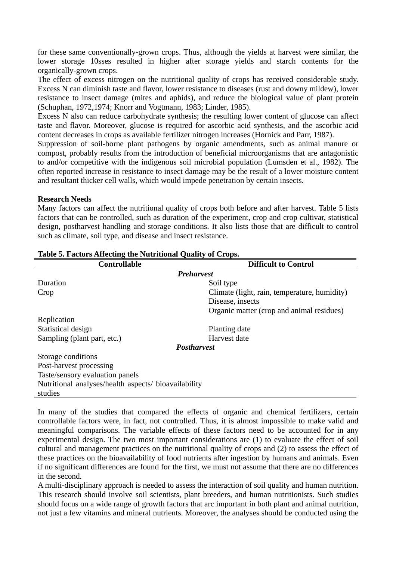for these same conventionally-grown crops. Thus, although the yields at harvest were similar, the lower storage 10sses resulted in higher after storage yields and starch contents for the organically-grown crops.

The effect of excess nitrogen on the nutritional quality of crops has received considerable study. Excess N can diminish taste and flavor, lower resistance to diseases (rust and downy mildew), lower resistance to insect damage (mites and aphids), and reduce the biological value of plant protein (Schuphan, 1972,1974; Knorr and Vogtmann, 1983; Linder, 1985).

Excess N also can reduce carbohydrate synthesis; the resulting lower content of glucose can affect taste and flavor. Moreover, glucose is required for ascorbic acid synthesis, and the ascorbic acid content decreases in crops as available fertilizer nitrogen increases (Hornick and Parr, 1987).

Suppression of soil-borne plant pathogens by organic amendments, such as animal manure or compost, probably results from the introduction of beneficial microorganisms that are antagonistic to and/or competitive with the indigenous soil microbial population (Lumsden et al., 1982). The often reported increase in resistance to insect damage may be the result of a lower moisture content and resultant thicker cell walls, which would impede penetration by certain insects.

### **Research Needs**

Many factors can affect the nutritional quality of crops both before and after harvest. Table 5 lists factors that can be controlled, such as duration of the experiment, crop and crop cultivar, statistical design, postharvest handling and storage conditions. It also lists those that are difficult to control such as climate, soil type, and disease and insect resistance.

| <b>Controllable</b>                                  | <b>Difficult to Control</b>                  |  |  |
|------------------------------------------------------|----------------------------------------------|--|--|
| <b>Preharvest</b>                                    |                                              |  |  |
| Duration                                             | Soil type                                    |  |  |
| Crop                                                 | Climate (light, rain, temperature, humidity) |  |  |
|                                                      | Disease, insects                             |  |  |
|                                                      | Organic matter (crop and animal residues)    |  |  |
| Replication                                          |                                              |  |  |
| Statistical design                                   | Planting date                                |  |  |
| Sampling (plant part, etc.)                          | Harvest date                                 |  |  |
| <b>Postharyest</b>                                   |                                              |  |  |
| Storage conditions                                   |                                              |  |  |
| Post-harvest processing                              |                                              |  |  |
| Taste/sensory evaluation panels                      |                                              |  |  |
| Nutritional analyses/health aspects/ bioavailability |                                              |  |  |
| studies                                              |                                              |  |  |

### **Table 5. Factors Affecting the Nutritional Quality of Crops.**

In many of the studies that compared the effects of organic and chemical fertilizers, certain controllable factors were, in fact, not controlled. Thus, it is almost impossible to make valid and meaningful comparisons. The variable effects of these factors need to be accounted for in any experimental design. The two most important considerations are (1) to evaluate the effect of soil cultural and management practices on the nutritional quality of crops and (2) to assess the effect of these practices on the bioavailability of food nutrients after ingestion by humans and animals. Even if no significant differences are found for the first, we must not assume that there are no differences in the second.

A multi-disciplinary approach is needed to assess the interaction of soil quality and human nutrition. This research should involve soil scientists, plant breeders, and human nutritionists. Such studies should focus on a wide range of growth factors that arc important in both plant and animal nutrition, not just a few vitamins and mineral nutrients. Moreover, the analyses should be conducted using the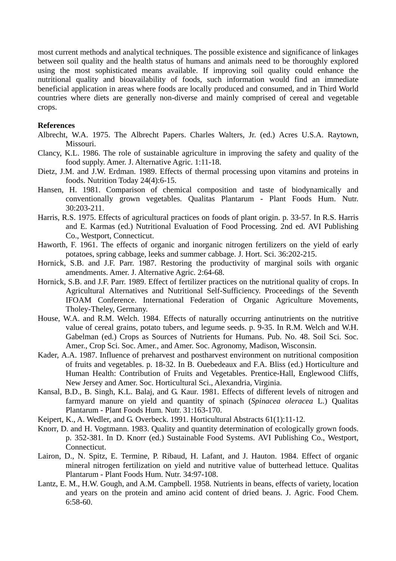most current methods and analytical techniques. The possible existence and significance of linkages between soil quality and the health status of humans and animals need to be thoroughly explored using the most sophisticated means available. If improving soil quality could enhance the nutritional quality and bioavailability of foods, such information would find an immediate beneficial application in areas where foods are locally produced and consumed, and in Third World countries where diets are generally non-diverse and mainly comprised of cereal and vegetable crops.

#### **References**

- Albrecht, W.A. 1975. The Albrecht Papers. Charles Walters, Jr. (ed.) Acres U.S.A. Raytown, Missouri.
- Clancy, K.L. 1986. The role of sustainable agriculture in improving the safety and quality of the food supply. Amer. J. Alternative Agric. 1:11-18.
- Dietz, J.M. and J.W. Erdman. 1989. Effects of thermal processing upon vitamins and proteins in foods. Nutrition Today 24(4):6-15.
- Hansen, H. 1981. Comparison of chemical composition and taste of biodynamically and conventionally grown vegetables. Qualitas Plantarum - Plant Foods Hum. Nutr. 30:203-211.
- Harris, R.S. 1975. Effects of agricultural practices on foods of plant origin. p. 33-57. In R.S. Harris and E. Karmas (ed.) Nutritional Evaluation of Food Processing. 2nd ed. AVI Publishing Co., Westport, Connecticut.
- Haworth, F. 1961. The effects of organic and inorganic nitrogen fertilizers on the yield of early potatoes, spring cabbage, leeks and summer cabbage. J. Hort. Sci. 36:202-215.
- Hornick, S.B. and J.F. Parr. 1987. Restoring the productivity of marginal soils with organic amendments. Amer. J. Alternative Agric. 2:64-68.
- Hornick, S.B. and J.F. Parr. 1989. Effect of fertilizer practices on the nutritional quality of crops. In Agricultural Alternatives and Nutritional Self-Sufficiency. Proceedings of the Seventh IFOAM Conference. International Federation of Organic Agriculture Movements, Tholey-Theley, Germany.
- House, W.A. and R.M. Welch. 1984. Effects of naturally occurring antinutrients on the nutritive value of cereal grains, potato tubers, and legume seeds. p. 9-35. In R.M. Welch and W.H. Gabelman (ed.) Crops as Sources of Nutrients for Humans. Pub. No. 48. Soil Sci. Soc. Amer., Crop Sci. Soc. Amer., and Amer. Soc. Agronomy, Madison, Wisconsin.
- Kader, A.A. 1987. Influence of preharvest and postharvest environment on nutritional composition of fruits and vegetables. p. 18-32. In B. Ouebedeaux and F.A. Bliss (ed.) Horticulture and Human Health: Contribution of Fruits and Vegetables. Prentice-Hall, Englewood Cliffs, New Jersey and Amer. Soc. Horticultural Sci., Alexandria, Virginia.
- Kansal, B.D., B. Singh, K.L. Balaj, and G. Kaur. 1981. Effects of different levels of nitrogen and farmyard manure on yield and quantity of spinach (*Spinacea oleracea* L.) Qualitas Plantarum - Plant Foods Hum. Nutr. 31:163-170.
- Keipert, K., A. Wedler, and G. Overbeck. 1991. Horticultural Abstracts 61(1):11-12.
- Knorr, D. and H. Vogtmann. 1983. Quality and quantity determination of ecologically grown foods. p. 352-381. In D. Knorr (ed.) Sustainable Food Systems. AVI Publishing Co., Westport, Connecticut.
- Lairon, D., N. Spitz, E. Termine, P. Ribaud, H. Lafant, and J. Hauton. 1984. Effect of organic mineral nitrogen fertilization on yield and nutritive value of butterhead lettuce. Qualitas Plantarum - Plant Foods Hum. Nutr. 34:97-108.
- Lantz, E. M., H.W. Gough, and A.M. Campbell. 1958. Nutrients in beans, effects of variety, location and years on the protein and amino acid content of dried beans. J. Agric. Food Chem. 6:58-60.